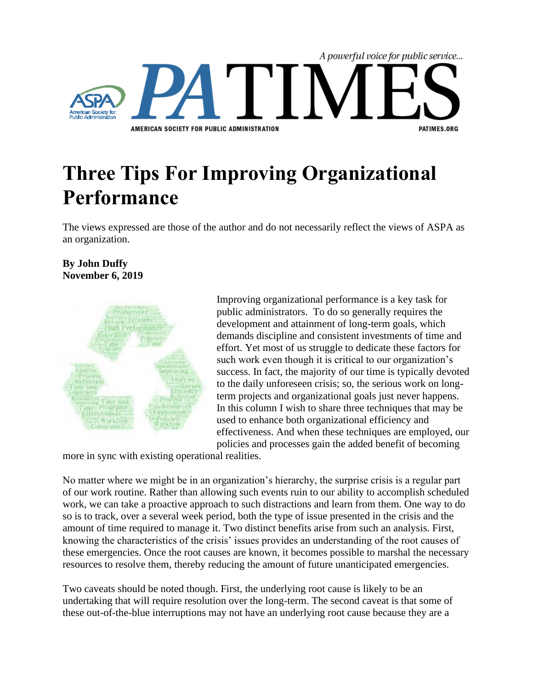

## **Three Tips For Improving Organizational Performance**

The views expressed are those of the author and do not necessarily reflect the views of ASPA as an organization.

## **By John Duffy November 6, 2019**



Improving organizational performance is a key task for public administrators. To do so generally requires the development and attainment of long-term goals, which demands discipline and consistent investments of time and effort. Yet most of us struggle to dedicate these factors for such work even though it is critical to our organization's success. In fact, the majority of our time is typically devoted to the daily unforeseen crisis; so, the serious work on longterm projects and organizational goals just never happens. In this column I wish to share three techniques that may be used to enhance both organizational efficiency and effectiveness. And when these techniques are employed, our policies and processes gain the added benefit of becoming

more in sync with existing operational realities.

No matter where we might be in an organization's hierarchy, the surprise crisis is a regular part of our work routine. Rather than allowing such events ruin to our ability to accomplish scheduled work, we can take a proactive approach to such distractions and learn from them. One way to do so is to track, over a several week period, both the type of issue presented in the crisis and the amount of time required to manage it. Two distinct benefits arise from such an analysis. First, knowing the characteristics of the crisis' issues provides an understanding of the root causes of these emergencies. Once the root causes are known, it becomes possible to marshal the necessary resources to resolve them, thereby reducing the amount of future unanticipated emergencies.

Two caveats should be noted though. First, the underlying root cause is likely to be an undertaking that will require resolution over the long-term. The second caveat is that some of these out-of-the-blue interruptions may not have an underlying root cause because they are a